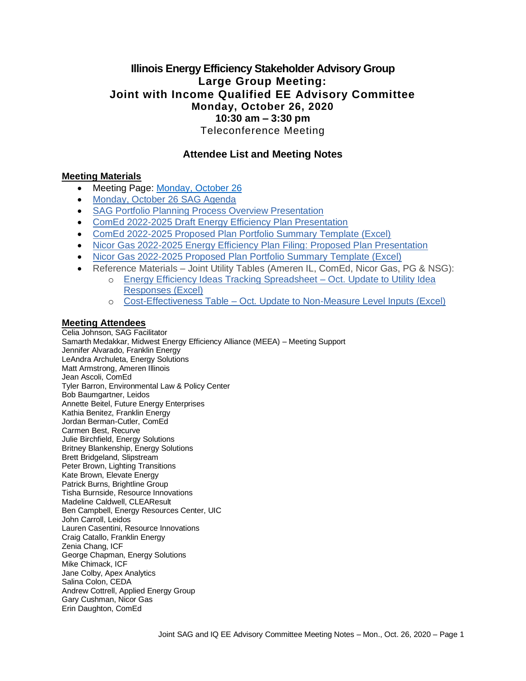# **Illinois Energy Efficiency Stakeholder Advisory Group Large Group Meeting: Joint with Income Qualified EE Advisory Committee Monday, October 26, 2020 10:30 am – 3:30 pm** Teleconference Meeting

# **Attendee List and Meeting Notes**

#### **Meeting Materials**

- Meeting Page: [Monday, October 26](https://www.ilsag.info/event/monday-october-26-sag-meeting/)
- [Monday, October 26 SAG Agenda](https://ilsag.s3.amazonaws.com/IL-EE-SAG_Joint_IQ_Committee_Meeting_Mon-Oct-26-2020_Agenda_Finalv2.pdf)
- [SAG Portfolio Planning Process Overview Presentation](https://ilsag.s3.amazonaws.com/SAG-Portfolio-Planning-Process-Overview_10-26-2020-Meeting_Final.pdf)
- [ComEd 2022-2025 Draft Energy Efficiency Plan Presentation](https://ilsag.s3.amazonaws.com/ComEd-EE-Draft-Plan-6_SAG_Final.pdf)
- [ComEd 2022-2025 Proposed Plan Portfolio Summary Template \(Excel\)](https://ilsag.s3.amazonaws.com/ComEd-Preliminary-Portfolio-Summary_2022-2025_Plan.xlsx)
- [Nicor Gas 2022-2025 Energy Efficiency Plan Filing: Proposed Plan Presentation](https://ilsag.s3.amazonaws.com/Nicor-Gas-EEP-Proposed-2022-2025-Plan-SAG-Presentation-Final.pdf)
- [Nicor Gas 2022-2025 Proposed Plan Portfolio Summary Template \(Excel\)](https://ilsag.s3.amazonaws.com/Nicor-Gas-Proposed-2022-2025-Plan-SAG-Gas-Template-Final_updated-10-26.xlsx)
- Reference Materials Joint Utility Tables (Ameren IL, ComEd, Nicor Gas, PG & NSG):
	- o [Energy Efficiency Ideas Tracking Spreadsheet –](https://ilsag.s3.amazonaws.com/SAG_2020-Planning-Process_Utility-Responses-to-EE-Ideas_October-2020-Update.xlsx) Oct. Update to Utility Idea [Responses \(Excel\)](https://ilsag.s3.amazonaws.com/SAG_2020-Planning-Process_Utility-Responses-to-EE-Ideas_October-2020-Update.xlsx)
	- o Cost-Effectiveness Table [Oct. Update to Non-Measure Level Inputs \(Excel\)](https://ilsag.s3.amazonaws.com/TRC_Inputs_Table_All-Utilities_Updated-Oct-2020.xlsx)

#### **Meeting Attendees**

Celia Johnson, SAG Facilitator Samarth Medakkar, Midwest Energy Efficiency Alliance (MEEA) – Meeting Support Jennifer Alvarado, Franklin Energy LeAndra Archuleta, Energy Solutions Matt Armstrong, Ameren Illinois Jean Ascoli, ComEd Tyler Barron, Environmental Law & Policy Center Bob Baumgartner, Leidos Annette Beitel, Future Energy Enterprises Kathia Benitez, Franklin Energy Jordan Berman-Cutler, ComEd Carmen Best, Recurve Julie Birchfield, Energy Solutions Britney Blankenship, Energy Solutions Brett Bridgeland, Slipstream Peter Brown, Lighting Transitions Kate Brown, Elevate Energy Patrick Burns, Brightline Group Tisha Burnside, Resource Innovations Madeline Caldwell, CLEAResult Ben Campbell, Energy Resources Center, UIC John Carroll, Leidos Lauren Casentini, Resource Innovations Craig Catallo, Franklin Energy Zenia Chang, ICF George Chapman, Energy Solutions Mike Chimack, ICF Jane Colby, Apex Analytics Salina Colon, CEDA Andrew Cottrell, Applied Energy Group Gary Cushman, Nicor Gas Erin Daughton, ComEd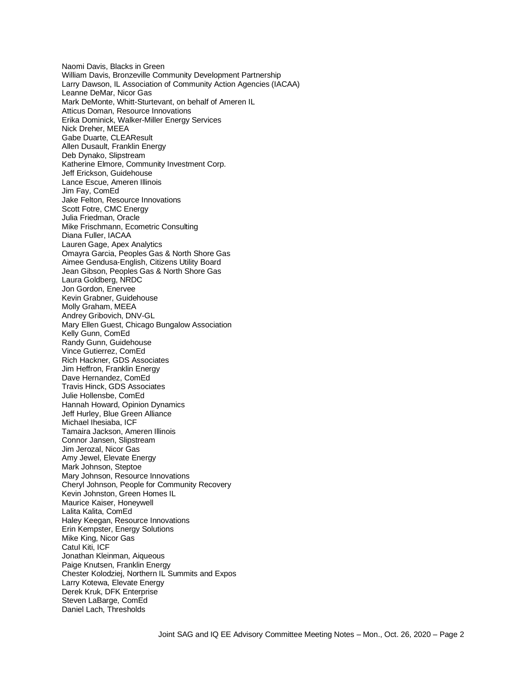Naomi Davis, Blacks in Green William Davis, Bronzeville Community Development Partnership Larry Dawson, IL Association of Community Action Agencies (IACAA) Leanne DeMar, Nicor Gas Mark DeMonte, Whitt-Sturtevant, on behalf of Ameren IL Atticus Doman, Resource Innovations Erika Dominick, Walker-Miller Energy Services Nick Dreher, MEEA Gabe Duarte, CLEAResult Allen Dusault, Franklin Energy Deb Dynako, Slipstream Katherine Elmore, Community Investment Corp. Jeff Erickson, Guidehouse Lance Escue, Ameren Illinois Jim Fay, ComEd Jake Felton, Resource Innovations Scott Fotre, CMC Energy Julia Friedman, Oracle Mike Frischmann, Ecometric Consulting Diana Fuller, IACAA Lauren Gage, Apex Analytics Omayra Garcia, Peoples Gas & North Shore Gas Aimee Gendusa-English, Citizens Utility Board Jean Gibson, Peoples Gas & North Shore Gas Laura Goldberg, NRDC Jon Gordon, Enervee Kevin Grabner, Guidehouse Molly Graham, MEEA Andrey Gribovich, DNV-GL Mary Ellen Guest, Chicago Bungalow Association Kelly Gunn, ComEd Randy Gunn, Guidehouse Vince Gutierrez, ComEd Rich Hackner, GDS Associates Jim Heffron, Franklin Energy Dave Hernandez, ComEd Travis Hinck, GDS Associates Julie Hollensbe, ComEd Hannah Howard, Opinion Dynamics Jeff Hurley, Blue Green Alliance Michael Ihesiaba, ICF Tamaira Jackson, Ameren Illinois Connor Jansen, Slipstream Jim Jerozal, Nicor Gas Amy Jewel, Elevate Energy Mark Johnson, Steptoe Mary Johnson, Resource Innovations Cheryl Johnson, People for Community Recovery Kevin Johnston, Green Homes IL Maurice Kaiser, Honeywell Lalita Kalita, ComEd Haley Keegan, Resource Innovations Erin Kempster, Energy Solutions Mike King, Nicor Gas Catul Kiti, ICF Jonathan Kleinman, Aiqueous Paige Knutsen, Franklin Energy Chester Kolodziej, Northern IL Summits and Expos Larry Kotewa, Elevate Energy Derek Kruk, DFK Enterprise Steven LaBarge, ComEd Daniel Lach, Thresholds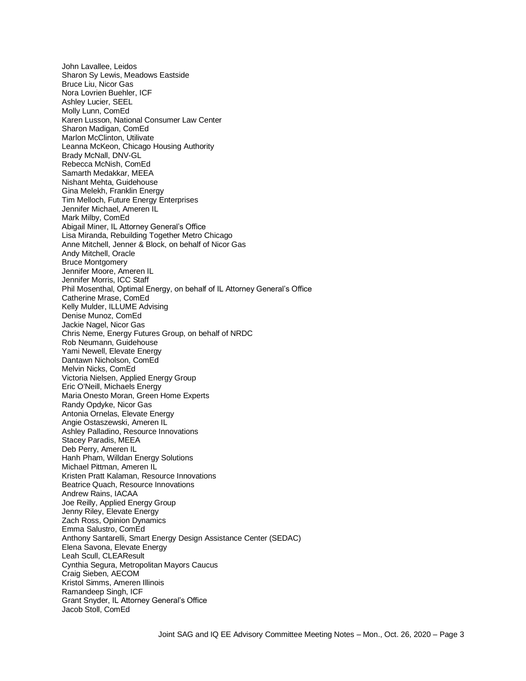John Lavallee, Leidos Sharon Sy Lewis, Meadows Eastside Bruce Liu, Nicor Gas Nora Lovrien Buehler, ICF Ashley Lucier, SEEL Molly Lunn, ComEd Karen Lusson, National Consumer Law Center Sharon Madigan, ComEd Marlon McClinton, Utilivate Leanna McKeon, Chicago Housing Authority Brady McNall, DNV-GL Rebecca McNish, ComEd Samarth Medakkar, MEEA Nishant Mehta, Guidehouse Gina Melekh, Franklin Energy Tim Melloch, Future Energy Enterprises Jennifer Michael, Ameren IL Mark Milby, ComEd Abigail Miner, IL Attorney General's Office Lisa Miranda, Rebuilding Together Metro Chicago Anne Mitchell, Jenner & Block, on behalf of Nicor Gas Andy Mitchell, Oracle Bruce Montgomery Jennifer Moore, Ameren IL Jennifer Morris, ICC Staff Phil Mosenthal, Optimal Energy, on behalf of IL Attorney General's Office Catherine Mrase, ComEd Kelly Mulder, ILLUME Advising Denise Munoz, ComEd Jackie Nagel, Nicor Gas Chris Neme, Energy Futures Group, on behalf of NRDC Rob Neumann, Guidehouse Yami Newell, Elevate Energy Dantawn Nicholson, ComEd Melvin Nicks, ComEd Victoria Nielsen, Applied Energy Group Eric O'Neill, Michaels Energy Maria Onesto Moran, Green Home Experts Randy Opdyke, Nicor Gas Antonia Ornelas, Elevate Energy Angie Ostaszewski, Ameren IL Ashley Palladino, Resource Innovations Stacey Paradis, MEEA Deb Perry, Ameren IL Hanh Pham, Willdan Energy Solutions Michael Pittman, Ameren IL Kristen Pratt Kalaman, Resource Innovations Beatrice Quach, Resource Innovations Andrew Rains, IACAA Joe Reilly, Applied Energy Group Jenny Riley, Elevate Energy Zach Ross, Opinion Dynamics Emma Salustro, ComEd Anthony Santarelli, Smart Energy Design Assistance Center (SEDAC) Elena Savona, Elevate Energy Leah Scull, CLEAResult Cynthia Segura, Metropolitan Mayors Caucus Craig Sieben, AECOM Kristol Simms, Ameren Illinois Ramandeep Singh, ICF Grant Snyder, IL Attorney General's Office Jacob Stoll, ComEd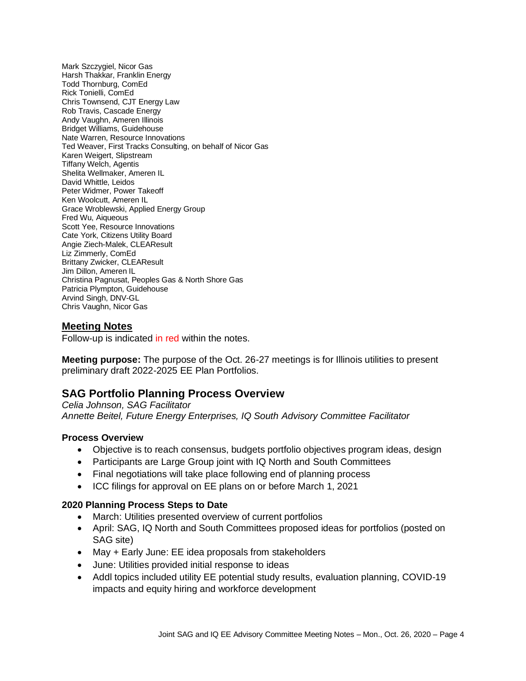Mark Szczygiel, Nicor Gas Harsh Thakkar, Franklin Energy Todd Thornburg, ComEd Rick Tonielli, ComEd Chris Townsend, CJT Energy Law Rob Travis, Cascade Energy Andy Vaughn, Ameren Illinois Bridget Williams, Guidehouse Nate Warren, Resource Innovations Ted Weaver, First Tracks Consulting, on behalf of Nicor Gas Karen Weigert, Slipstream Tiffany Welch, Agentis Shelita Wellmaker, Ameren IL David Whittle, Leidos Peter Widmer, Power Takeoff Ken Woolcutt, Ameren IL Grace Wroblewski, Applied Energy Group Fred Wu, Aiqueous Scott Yee, Resource Innovations Cate York, Citizens Utility Board Angie Ziech-Malek, CLEAResult Liz Zimmerly, ComEd Brittany Zwicker, CLEAResult Jim Dillon, Ameren IL Christina Pagnusat, Peoples Gas & North Shore Gas Patricia Plympton, Guidehouse Arvind Singh, DNV-GL Chris Vaughn, Nicor Gas

#### **Meeting Notes**

Follow-up is indicated in red within the notes.

**Meeting purpose:** The purpose of the Oct. 26-27 meetings is for Illinois utilities to present preliminary draft 2022-2025 EE Plan Portfolios.

# **SAG Portfolio Planning Process Overview**

*Celia Johnson, SAG Facilitator Annette Beitel, Future Energy Enterprises, IQ South Advisory Committee Facilitator*

#### **Process Overview**

- Objective is to reach consensus, budgets portfolio objectives program ideas, design
- Participants are Large Group joint with IQ North and South Committees
- Final negotiations will take place following end of planning process
- ICC filings for approval on EE plans on or before March 1, 2021

#### **2020 Planning Process Steps to Date**

- March: Utilities presented overview of current portfolios
- April: SAG, IQ North and South Committees proposed ideas for portfolios (posted on SAG site)
- May + Early June: EE idea proposals from stakeholders
- June: Utilities provided initial response to ideas
- Addl topics included utility EE potential study results, evaluation planning, COVID-19 impacts and equity hiring and workforce development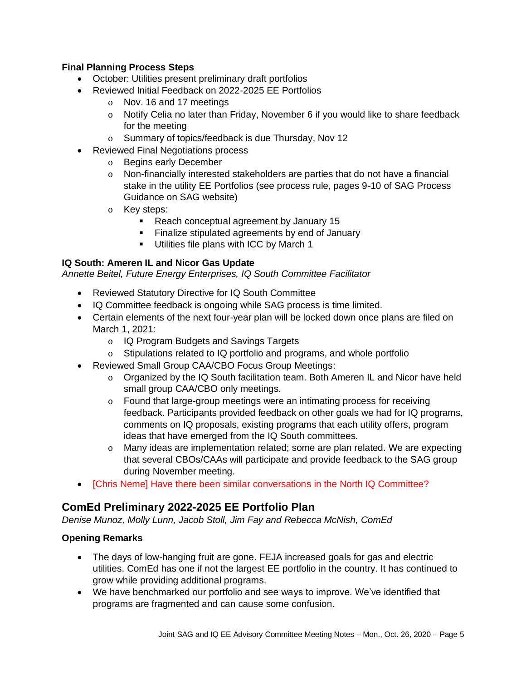## **Final Planning Process Steps**

- October: Utilities present preliminary draft portfolios
- Reviewed Initial Feedback on 2022-2025 EE Portfolios
	- o Nov. 16 and 17 meetings
	- o Notify Celia no later than Friday, November 6 if you would like to share feedback for the meeting
	- o Summary of topics/feedback is due Thursday, Nov 12
- Reviewed Final Negotiations process
	- o Begins early December
	- o Non-financially interested stakeholders are parties that do not have a financial stake in the utility EE Portfolios (see process rule, pages 9-10 of SAG Process Guidance on SAG website)
	- o Key steps:
		- Reach conceptual agreement by January 15
		- **EXECUTE:** Finalize stipulated agreements by end of January
		- Utilities file plans with ICC by March 1

## **IQ South: Ameren IL and Nicor Gas Update**

*Annette Beitel, Future Energy Enterprises, IQ South Committee Facilitator*

- Reviewed Statutory Directive for IQ South Committee
- IQ Committee feedback is ongoing while SAG process is time limited.
- Certain elements of the next four-year plan will be locked down once plans are filed on March 1, 2021:
	- o IQ Program Budgets and Savings Targets
	- o Stipulations related to IQ portfolio and programs, and whole portfolio
- Reviewed Small Group CAA/CBO Focus Group Meetings:
	- o Organized by the IQ South facilitation team. Both Ameren IL and Nicor have held small group CAA/CBO only meetings.
	- o Found that large-group meetings were an intimating process for receiving feedback. Participants provided feedback on other goals we had for IQ programs, comments on IQ proposals, existing programs that each utility offers, program ideas that have emerged from the IQ South committees.
	- o Many ideas are implementation related; some are plan related. We are expecting that several CBOs/CAAs will participate and provide feedback to the SAG group during November meeting.
- [Chris Neme] Have there been similar conversations in the North IQ Committee?

# **ComEd Preliminary 2022-2025 EE Portfolio Plan**

*Denise Munoz, Molly Lunn, Jacob Stoll, Jim Fay and Rebecca McNish, ComEd*

# **Opening Remarks**

- The days of low-hanging fruit are gone. FEJA increased goals for gas and electric utilities. ComEd has one if not the largest EE portfolio in the country. It has continued to grow while providing additional programs.
- We have benchmarked our portfolio and see ways to improve. We've identified that programs are fragmented and can cause some confusion.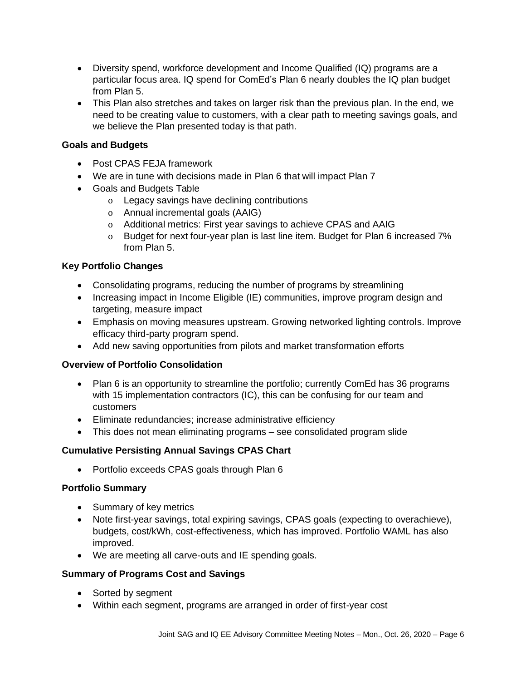- Diversity spend, workforce development and Income Qualified (IQ) programs are a particular focus area. IQ spend for ComEd's Plan 6 nearly doubles the IQ plan budget from Plan 5.
- This Plan also stretches and takes on larger risk than the previous plan. In the end, we need to be creating value to customers, with a clear path to meeting savings goals, and we believe the Plan presented today is that path.

## **Goals and Budgets**

- Post CPAS FEJA framework
- We are in tune with decisions made in Plan 6 that will impact Plan 7
- Goals and Budgets Table
	- o Legacy savings have declining contributions
	- o Annual incremental goals (AAIG)
	- o Additional metrics: First year savings to achieve CPAS and AAIG
	- o Budget for next four-year plan is last line item. Budget for Plan 6 increased 7% from Plan 5.

#### **Key Portfolio Changes**

- Consolidating programs, reducing the number of programs by streamlining
- Increasing impact in Income Eligible (IE) communities, improve program design and targeting, measure impact
- Emphasis on moving measures upstream. Growing networked lighting controls. Improve efficacy third-party program spend.
- Add new saving opportunities from pilots and market transformation efforts

#### **Overview of Portfolio Consolidation**

- Plan 6 is an opportunity to streamline the portfolio; currently ComEd has 36 programs with 15 implementation contractors (IC), this can be confusing for our team and customers
- Eliminate redundancies; increase administrative efficiency
- This does not mean eliminating programs see consolidated program slide

#### **Cumulative Persisting Annual Savings CPAS Chart**

• Portfolio exceeds CPAS goals through Plan 6

#### **Portfolio Summary**

- Summary of key metrics
- Note first-year savings, total expiring savings, CPAS goals (expecting to overachieve), budgets, cost/kWh, cost-effectiveness, which has improved. Portfolio WAML has also improved.
- We are meeting all carve-outs and IE spending goals.

#### **Summary of Programs Cost and Savings**

- Sorted by segment
- Within each segment, programs are arranged in order of first-year cost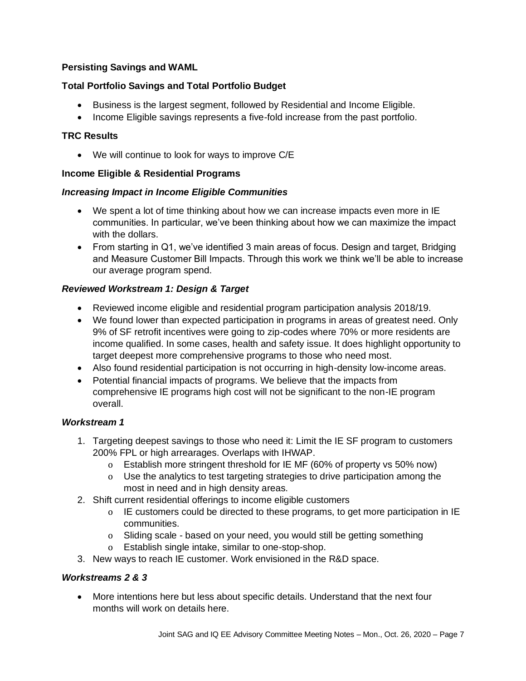## **Persisting Savings and WAML**

## **Total Portfolio Savings and Total Portfolio Budget**

- Business is the largest segment, followed by Residential and Income Eligible.
- Income Eligible savings represents a five-fold increase from the past portfolio.

## **TRC Results**

• We will continue to look for ways to improve C/E

## **Income Eligible & Residential Programs**

#### *Increasing Impact in Income Eligible Communities*

- We spent a lot of time thinking about how we can increase impacts even more in IE communities. In particular, we've been thinking about how we can maximize the impact with the dollars.
- From starting in Q1, we've identified 3 main areas of focus. Design and target, Bridging and Measure Customer Bill Impacts. Through this work we think we'll be able to increase our average program spend.

## *Reviewed Workstream 1: Design & Target*

- Reviewed income eligible and residential program participation analysis 2018/19.
- We found lower than expected participation in programs in areas of greatest need. Only 9% of SF retrofit incentives were going to zip-codes where 70% or more residents are income qualified. In some cases, health and safety issue. It does highlight opportunity to target deepest more comprehensive programs to those who need most.
- Also found residential participation is not occurring in high-density low-income areas.
- Potential financial impacts of programs. We believe that the impacts from comprehensive IE programs high cost will not be significant to the non-IE program overall.

#### *Workstream 1*

- 1. Targeting deepest savings to those who need it: Limit the IE SF program to customers 200% FPL or high arrearages. Overlaps with IHWAP.
	- o Establish more stringent threshold for IE MF (60% of property vs 50% now)
	- o Use the analytics to test targeting strategies to drive participation among the most in need and in high density areas.
- 2. Shift current residential offerings to income eligible customers
	- o IE customers could be directed to these programs, to get more participation in IE communities.
	- o Sliding scale based on your need, you would still be getting something
	- o Establish single intake, similar to one-stop-shop.
- 3. New ways to reach IE customer. Work envisioned in the R&D space.

#### *Workstreams 2 & 3*

• More intentions here but less about specific details. Understand that the next four months will work on details here.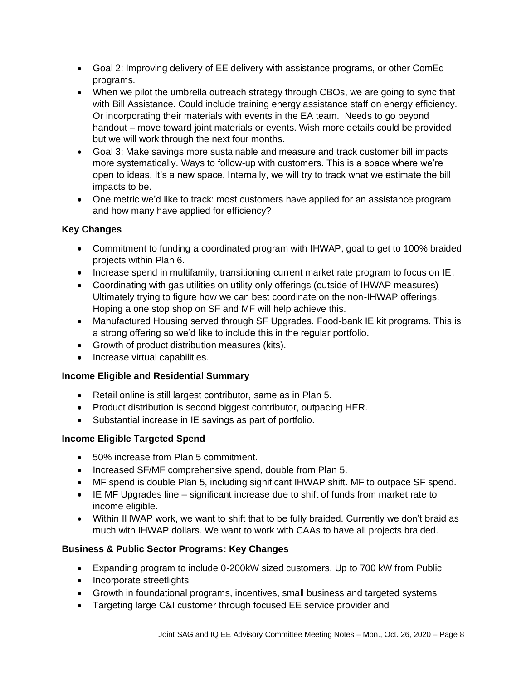- Goal 2: Improving delivery of EE delivery with assistance programs, or other ComEd programs.
- When we pilot the umbrella outreach strategy through CBOs, we are going to sync that with Bill Assistance. Could include training energy assistance staff on energy efficiency. Or incorporating their materials with events in the EA team. Needs to go beyond handout – move toward joint materials or events. Wish more details could be provided but we will work through the next four months.
- Goal 3: Make savings more sustainable and measure and track customer bill impacts more systematically. Ways to follow-up with customers. This is a space where we're open to ideas. It's a new space. Internally, we will try to track what we estimate the bill impacts to be.
- One metric we'd like to track: most customers have applied for an assistance program and how many have applied for efficiency?

# **Key Changes**

- Commitment to funding a coordinated program with IHWAP, goal to get to 100% braided projects within Plan 6.
- Increase spend in multifamily, transitioning current market rate program to focus on IE.
- Coordinating with gas utilities on utility only offerings (outside of IHWAP measures) Ultimately trying to figure how we can best coordinate on the non-IHWAP offerings. Hoping a one stop shop on SF and MF will help achieve this.
- Manufactured Housing served through SF Upgrades. Food-bank IE kit programs. This is a strong offering so we'd like to include this in the regular portfolio.
- Growth of product distribution measures (kits).
- Increase virtual capabilities.

# **Income Eligible and Residential Summary**

- Retail online is still largest contributor, same as in Plan 5.
- Product distribution is second biggest contributor, outpacing HER.
- Substantial increase in IE savings as part of portfolio.

# **Income Eligible Targeted Spend**

- 50% increase from Plan 5 commitment.
- Increased SF/MF comprehensive spend, double from Plan 5.
- MF spend is double Plan 5, including significant IHWAP shift. MF to outpace SF spend.
- IE MF Upgrades line significant increase due to shift of funds from market rate to income eligible.
- Within IHWAP work, we want to shift that to be fully braided. Currently we don't braid as much with IHWAP dollars. We want to work with CAAs to have all projects braided.

# **Business & Public Sector Programs: Key Changes**

- Expanding program to include 0-200kW sized customers. Up to 700 kW from Public
- Incorporate streetlights
- Growth in foundational programs, incentives, small business and targeted systems
- Targeting large C&I customer through focused EE service provider and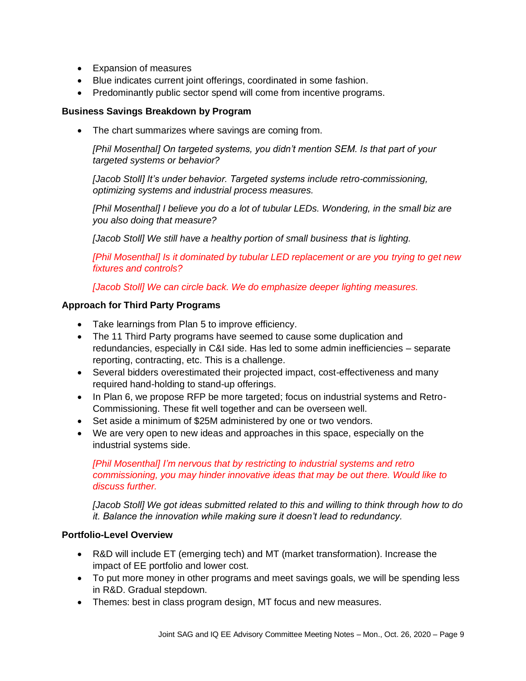- Expansion of measures
- Blue indicates current joint offerings, coordinated in some fashion.
- Predominantly public sector spend will come from incentive programs.

#### **Business Savings Breakdown by Program**

• The chart summarizes where savings are coming from.

*[Phil Mosenthal] On targeted systems, you didn't mention SEM. Is that part of your targeted systems or behavior?* 

*[Jacob Stoll] It's under behavior. Targeted systems include retro-commissioning, optimizing systems and industrial process measures.* 

*[Phil Mosenthal] I believe you do a lot of tubular LEDs. Wondering, in the small biz are you also doing that measure?* 

*[Jacob Stoll] We still have a healthy portion of small business that is lighting.*

*[Phil Mosenthal] Is it dominated by tubular LED replacement or are you trying to get new fixtures and controls?*

*[Jacob Stoll] We can circle back. We do emphasize deeper lighting measures.*

#### **Approach for Third Party Programs**

- Take learnings from Plan 5 to improve efficiency.
- The 11 Third Party programs have seemed to cause some duplication and redundancies, especially in C&I side. Has led to some admin inefficiencies – separate reporting, contracting, etc. This is a challenge.
- Several bidders overestimated their projected impact, cost-effectiveness and many required hand-holding to stand-up offerings.
- In Plan 6, we propose RFP be more targeted; focus on industrial systems and Retro-Commissioning. These fit well together and can be overseen well.
- Set aside a minimum of \$25M administered by one or two vendors.
- We are very open to new ideas and approaches in this space, especially on the industrial systems side.

*[Phil Mosenthal] I'm nervous that by restricting to industrial systems and retro commissioning, you may hinder innovative ideas that may be out there. Would like to discuss further.*

*[Jacob Stoll] We got ideas submitted related to this and willing to think through how to do it. Balance the innovation while making sure it doesn't lead to redundancy.*

## **Portfolio-Level Overview**

- R&D will include ET (emerging tech) and MT (market transformation). Increase the impact of EE portfolio and lower cost.
- To put more money in other programs and meet savings goals, we will be spending less in R&D. Gradual stepdown.
- Themes: best in class program design, MT focus and new measures.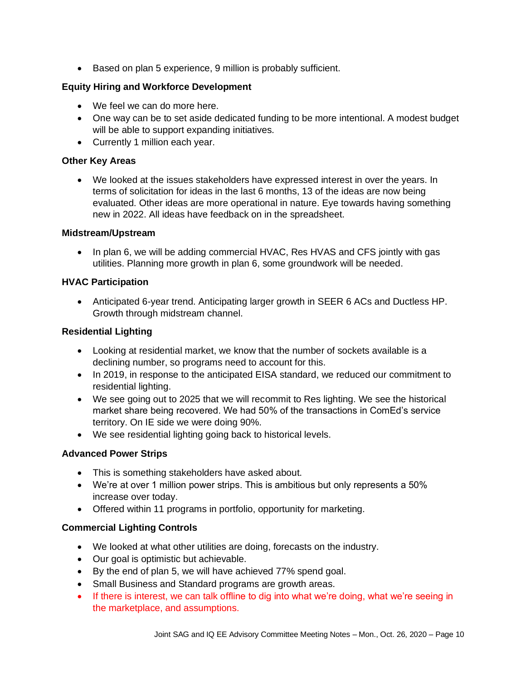• Based on plan 5 experience, 9 million is probably sufficient.

## **Equity Hiring and Workforce Development**

- We feel we can do more here.
- One way can be to set aside dedicated funding to be more intentional. A modest budget will be able to support expanding initiatives.
- Currently 1 million each year.

#### **Other Key Areas**

• We looked at the issues stakeholders have expressed interest in over the years. In terms of solicitation for ideas in the last 6 months, 13 of the ideas are now being evaluated. Other ideas are more operational in nature. Eye towards having something new in 2022. All ideas have feedback on in the spreadsheet.

#### **Midstream/Upstream**

• In plan 6, we will be adding commercial HVAC, Res HVAS and CFS jointly with gas utilities. Planning more growth in plan 6, some groundwork will be needed.

#### **HVAC Participation**

• Anticipated 6-year trend. Anticipating larger growth in SEER 6 ACs and Ductless HP. Growth through midstream channel.

#### **Residential Lighting**

- Looking at residential market, we know that the number of sockets available is a declining number, so programs need to account for this.
- In 2019, in response to the anticipated EISA standard, we reduced our commitment to residential lighting.
- We see going out to 2025 that we will recommit to Res lighting. We see the historical market share being recovered. We had 50% of the transactions in ComEd's service territory. On IE side we were doing 90%.
- We see residential lighting going back to historical levels.

#### **Advanced Power Strips**

- This is something stakeholders have asked about.
- We're at over 1 million power strips. This is ambitious but only represents a 50% increase over today.
- Offered within 11 programs in portfolio, opportunity for marketing.

#### **Commercial Lighting Controls**

- We looked at what other utilities are doing, forecasts on the industry.
- Our goal is optimistic but achievable.
- By the end of plan 5, we will have achieved 77% spend goal.
- Small Business and Standard programs are growth areas.
- If there is interest, we can talk offline to dig into what we're doing, what we're seeing in the marketplace, and assumptions.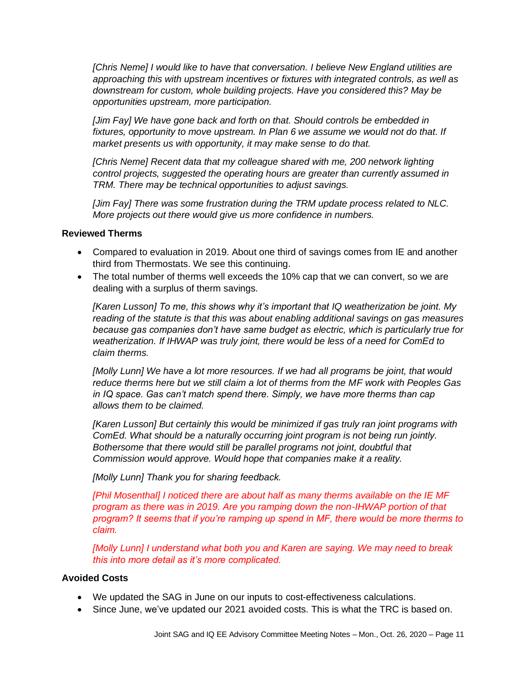*[Chris Neme] I would like to have that conversation. I believe New England utilities are approaching this with upstream incentives or fixtures with integrated controls, as well as downstream for custom, whole building projects. Have you considered this? May be opportunities upstream, more participation.* 

*[Jim Fay] We have gone back and forth on that. Should controls be embedded in*  fixtures, opportunity to move upstream. In Plan 6 we assume we would not do that. If *market presents us with opportunity, it may make sense to do that.* 

*[Chris Neme] Recent data that my colleague shared with me, 200 network lighting control projects, suggested the operating hours are greater than currently assumed in TRM. There may be technical opportunities to adjust savings.* 

*[Jim Fay] There was some frustration during the TRM update process related to NLC. More projects out there would give us more confidence in numbers.* 

#### **Reviewed Therms**

- Compared to evaluation in 2019. About one third of savings comes from IE and another third from Thermostats. We see this continuing.
- The total number of therms well exceeds the 10% cap that we can convert, so we are dealing with a surplus of therm savings.

*[Karen Lusson] To me, this shows why it's important that IQ weatherization be joint. My reading of the statute is that this was about enabling additional savings on gas measures because gas companies don't have same budget as electric, which is particularly true for weatherization. If IHWAP was truly joint, there would be less of a need for ComEd to claim therms.* 

*[Molly Lunn] We have a lot more resources. If we had all programs be joint, that would reduce therms here but we still claim a lot of therms from the MF work with Peoples Gas in IQ space. Gas can't match spend there. Simply, we have more therms than cap allows them to be claimed.*

*[Karen Lusson] But certainly this would be minimized if gas truly ran joint programs with ComEd. What should be a naturally occurring joint program is not being run jointly. Bothersome that there would still be parallel programs not joint, doubtful that Commission would approve. Would hope that companies make it a reality.*

*[Molly Lunn] Thank you for sharing feedback.*

*[Phil Mosenthal] I noticed there are about half as many therms available on the IE MF program as there was in 2019. Are you ramping down the non-IHWAP portion of that program? It seems that if you're ramping up spend in MF, there would be more therms to claim.*

*[Molly Lunn] I understand what both you and Karen are saying. We may need to break this into more detail as it's more complicated.*

#### **Avoided Costs**

- We updated the SAG in June on our inputs to cost-effectiveness calculations.
- Since June, we've updated our 2021 avoided costs. This is what the TRC is based on.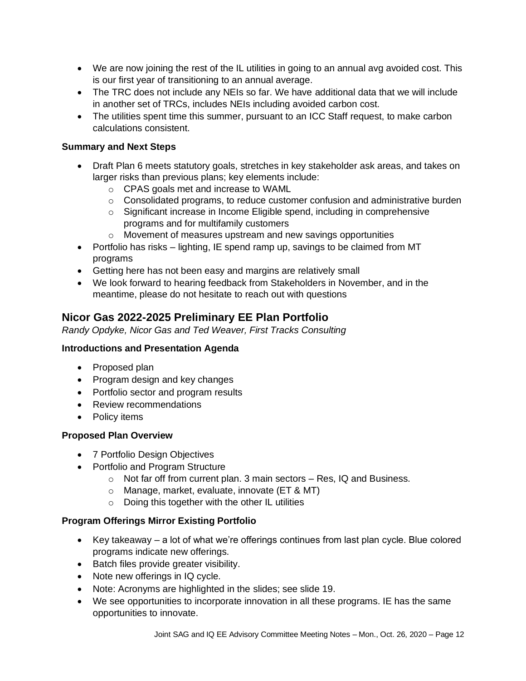- We are now joining the rest of the IL utilities in going to an annual avg avoided cost. This is our first year of transitioning to an annual average.
- The TRC does not include any NEIs so far. We have additional data that we will include in another set of TRCs, includes NEIs including avoided carbon cost.
- The utilities spent time this summer, pursuant to an ICC Staff request, to make carbon calculations consistent.

## **Summary and Next Steps**

- Draft Plan 6 meets statutory goals, stretches in key stakeholder ask areas, and takes on larger risks than previous plans; key elements include:
	- o CPAS goals met and increase to WAML
	- $\circ$  Consolidated programs, to reduce customer confusion and administrative burden
	- o Significant increase in Income Eligible spend, including in comprehensive programs and for multifamily customers
	- o Movement of measures upstream and new savings opportunities
- Portfolio has risks lighting, IE spend ramp up, savings to be claimed from MT programs
- Getting here has not been easy and margins are relatively small
- We look forward to hearing feedback from Stakeholders in November, and in the meantime, please do not hesitate to reach out with questions

# **Nicor Gas 2022-2025 Preliminary EE Plan Portfolio**

*Randy Opdyke, Nicor Gas and Ted Weaver, First Tracks Consulting*

#### **Introductions and Presentation Agenda**

- Proposed plan
- Program design and key changes
- Portfolio sector and program results
- Review recommendations
- Policy items

#### **Proposed Plan Overview**

- 7 Portfolio Design Objectives
- Portfolio and Program Structure
	- o Not far off from current plan. 3 main sectors Res, IQ and Business.
	- o Manage, market, evaluate, innovate (ET & MT)
	- o Doing this together with the other IL utilities

# **Program Offerings Mirror Existing Portfolio**

- Key takeaway a lot of what we're offerings continues from last plan cycle. Blue colored programs indicate new offerings.
- Batch files provide greater visibility.
- Note new offerings in IQ cycle.
- Note: Acronyms are highlighted in the slides; see slide 19.
- We see opportunities to incorporate innovation in all these programs. IE has the same opportunities to innovate.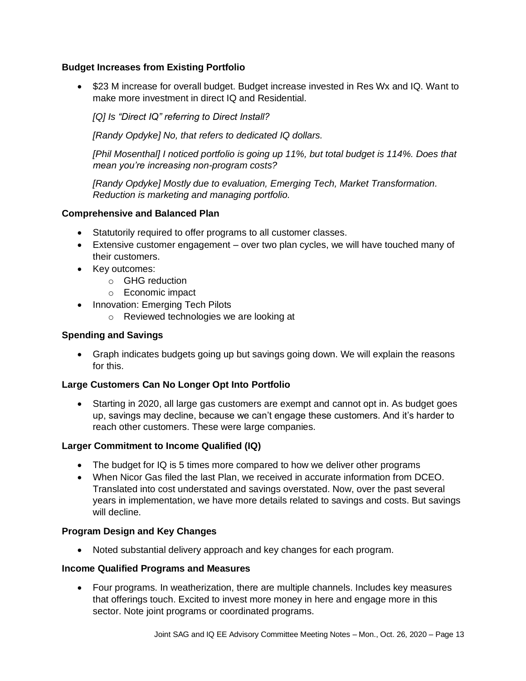## **Budget Increases from Existing Portfolio**

• \$23 M increase for overall budget. Budget increase invested in Res Wx and IQ. Want to make more investment in direct IQ and Residential.

*[Q] Is "Direct IQ" referring to Direct Install?*

*[Randy Opdyke] No, that refers to dedicated IQ dollars.* 

*[Phil Mosenthal] I noticed portfolio is going up 11%, but total budget is 114%. Does that mean you're increasing non-program costs?*

*[Randy Opdyke] Mostly due to evaluation, Emerging Tech, Market Transformation. Reduction is marketing and managing portfolio.*

#### **Comprehensive and Balanced Plan**

- Statutorily required to offer programs to all customer classes.
- Extensive customer engagement over two plan cycles, we will have touched many of their customers.
- Key outcomes:
	- o GHG reduction
	- o Economic impact
- Innovation: Emerging Tech Pilots
	- o Reviewed technologies we are looking at

#### **Spending and Savings**

• Graph indicates budgets going up but savings going down. We will explain the reasons for this.

#### **Large Customers Can No Longer Opt Into Portfolio**

• Starting in 2020, all large gas customers are exempt and cannot opt in. As budget goes up, savings may decline, because we can't engage these customers. And it's harder to reach other customers. These were large companies.

#### **Larger Commitment to Income Qualified (IQ)**

- The budget for IQ is 5 times more compared to how we deliver other programs
- When Nicor Gas filed the last Plan, we received in accurate information from DCEO. Translated into cost understated and savings overstated. Now, over the past several years in implementation, we have more details related to savings and costs. But savings will decline.

#### **Program Design and Key Changes**

• Noted substantial delivery approach and key changes for each program.

#### **Income Qualified Programs and Measures**

• Four programs. In weatherization, there are multiple channels. Includes key measures that offerings touch. Excited to invest more money in here and engage more in this sector. Note joint programs or coordinated programs.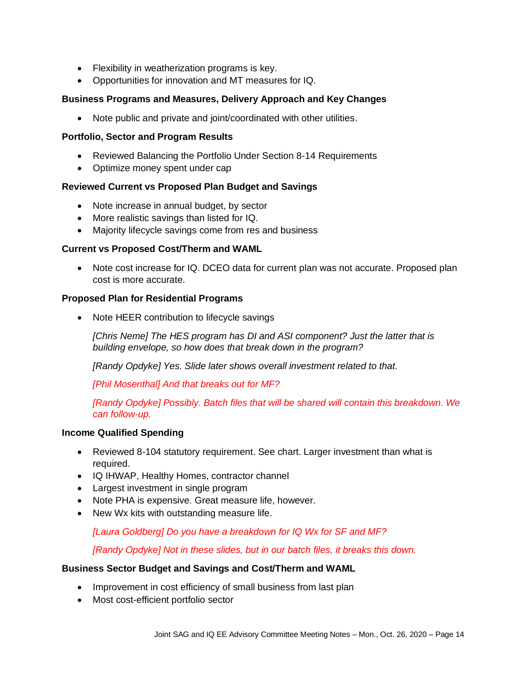- Flexibility in weatherization programs is key.
- Opportunities for innovation and MT measures for IQ.

## **Business Programs and Measures, Delivery Approach and Key Changes**

• Note public and private and joint/coordinated with other utilities.

#### **Portfolio, Sector and Program Results**

- Reviewed Balancing the Portfolio Under Section 8-14 Requirements
- Optimize money spent under cap

## **Reviewed Current vs Proposed Plan Budget and Savings**

- Note increase in annual budget, by sector
- More realistic savings than listed for IQ.
- Majority lifecycle savings come from res and business

#### **Current vs Proposed Cost/Therm and WAML**

• Note cost increase for IQ. DCEO data for current plan was not accurate. Proposed plan cost is more accurate.

#### **Proposed Plan for Residential Programs**

• Note HEER contribution to lifecycle savings

*[Chris Neme] The HES program has DI and ASI component? Just the latter that is building envelope, so how does that break down in the program?*

*[Randy Opdyke] Yes. Slide later shows overall investment related to that.*

*[Phil Mosenthal] And that breaks out for MF?*

*[Randy Opdyke] Possibly. Batch files that will be shared will contain this breakdown. We can follow-up.* 

#### **Income Qualified Spending**

- Reviewed 8-104 statutory requirement. See chart. Larger investment than what is required.
- IQ IHWAP, Healthy Homes, contractor channel
- Largest investment in single program
- Note PHA is expensive. Great measure life, however.
- New Wx kits with outstanding measure life.

*[Laura Goldberg] Do you have a breakdown for IQ Wx for SF and MF?* 

*[Randy Opdyke] Not in these slides, but in our batch files, it breaks this down.*

#### **Business Sector Budget and Savings and Cost/Therm and WAML**

- Improvement in cost efficiency of small business from last plan
- Most cost-efficient portfolio sector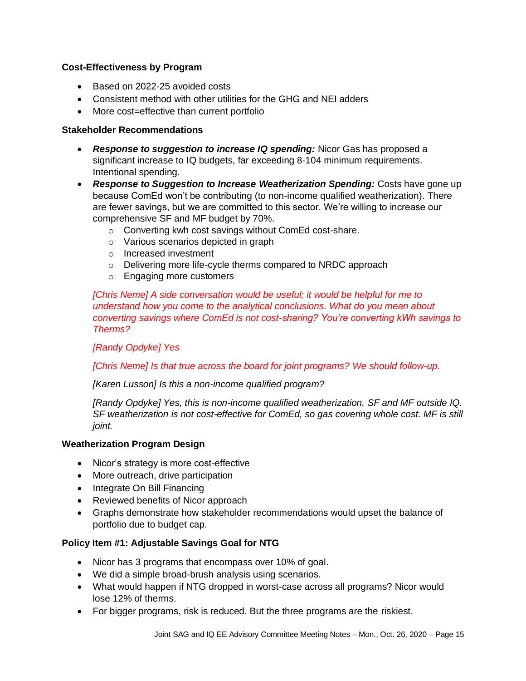#### **Cost-Effectiveness by Program**

- Based on 2022-25 avoided costs
- Consistent method with other utilities for the GHG and NEI adders
- More cost=effective than current portfolio

#### **Stakeholder Recommendations**

- *Response to suggestion to increase IQ spending:* Nicor Gas has proposed a significant increase to IQ budgets, far exceeding 8-104 minimum requirements. Intentional spending.
- *Response to Suggestion to Increase Weatherization Spending:* Costs have gone up because ComEd won't be contributing (to non-income qualified weatherization). There are fewer savings, but we are committed to this sector. We're willing to increase our comprehensive SF and MF budget by 70%.
	- o Converting kwh cost savings without ComEd cost-share.
	- o Various scenarios depicted in graph
	- o Increased investment
	- o Delivering more life-cycle therms compared to NRDC approach
	- o Engaging more customers

*[Chris Neme] A side conversation would be useful; it would be helpful for me to understand how you come to the analytical conclusions. What do you mean about converting savings where ComEd is not cost-sharing? You're converting kWh savings to Therms?*

*[Randy Opdyke] Yes*

*[Chris Neme] Is that true across the board for joint programs? We should follow-up.*

*[Karen Lusson] Is this a non-income qualified program?*

*[Randy Opdyke] Yes, this is non-income qualified weatherization. SF and MF outside IQ. SF weatherization is not cost-effective for ComEd, so gas covering whole cost. MF is still joint.* 

#### **Weatherization Program Design**

- Nicor's strategy is more cost-effective
- More outreach, drive participation
- Integrate On Bill Financing
- Reviewed benefits of Nicor approach
- Graphs demonstrate how stakeholder recommendations would upset the balance of portfolio due to budget cap.

#### **Policy Item #1: Adjustable Savings Goal for NTG**

- Nicor has 3 programs that encompass over 10% of goal.
- We did a simple broad-brush analysis using scenarios.
- What would happen if NTG dropped in worst-case across all programs? Nicor would lose 12% of therms.
- For bigger programs, risk is reduced. But the three programs are the riskiest.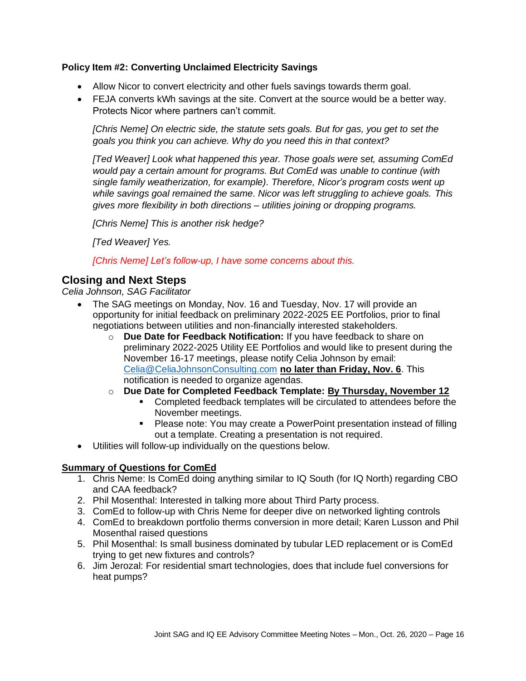## **Policy Item #2: Converting Unclaimed Electricity Savings**

- Allow Nicor to convert electricity and other fuels savings towards therm goal.
- FEJA converts kWh savings at the site. Convert at the source would be a better way. Protects Nicor where partners can't commit.

*[Chris Neme] On electric side, the statute sets goals. But for gas, you get to set the goals you think you can achieve. Why do you need this in that context?*

*[Ted Weaver] Look what happened this year. Those goals were set, assuming ComEd would pay a certain amount for programs. But ComEd was unable to continue (with single family weatherization, for example). Therefore, Nicor's program costs went up while savings goal remained the same. Nicor was left struggling to achieve goals. This gives more flexibility in both directions – utilities joining or dropping programs.*

*[Chris Neme] This is another risk hedge?*

*[Ted Weaver] Yes.*

*[Chris Neme] Let's follow-up, I have some concerns about this.* 

# **Closing and Next Steps**

*Celia Johnson, SAG Facilitator*

- The SAG meetings on Monday, Nov. 16 and Tuesday, Nov. 17 will provide an opportunity for initial feedback on preliminary 2022-2025 EE Portfolios, prior to final negotiations between utilities and non-financially interested stakeholders.
	- o **Due Date for Feedback Notification:** If you have feedback to share on preliminary 2022-2025 Utility EE Portfolios and would like to present during the November 16-17 meetings, please notify Celia Johnson by email: [Celia@CeliaJohnsonConsulting.com](mailto:Celia@CeliaJohnsonConsulting.com) **no later than Friday, Nov. 6**. This notification is needed to organize agendas.
	- o **Due Date for Completed Feedback Template: By Thursday, November 12**
		- Completed feedback templates will be circulated to attendees before the November meetings.
		- Please note: You may create a PowerPoint presentation instead of filling out a template. Creating a presentation is not required.
- Utilities will follow-up individually on the questions below.

#### **Summary of Questions for ComEd**

- 1. Chris Neme: Is ComEd doing anything similar to IQ South (for IQ North) regarding CBO and CAA feedback?
- 2. Phil Mosenthal: Interested in talking more about Third Party process.
- 3. ComEd to follow-up with Chris Neme for deeper dive on networked lighting controls
- 4. ComEd to breakdown portfolio therms conversion in more detail; Karen Lusson and Phil Mosenthal raised questions
- 5. Phil Mosenthal: Is small business dominated by tubular LED replacement or is ComEd trying to get new fixtures and controls?
- 6. Jim Jerozal: For residential smart technologies, does that include fuel conversions for heat pumps?